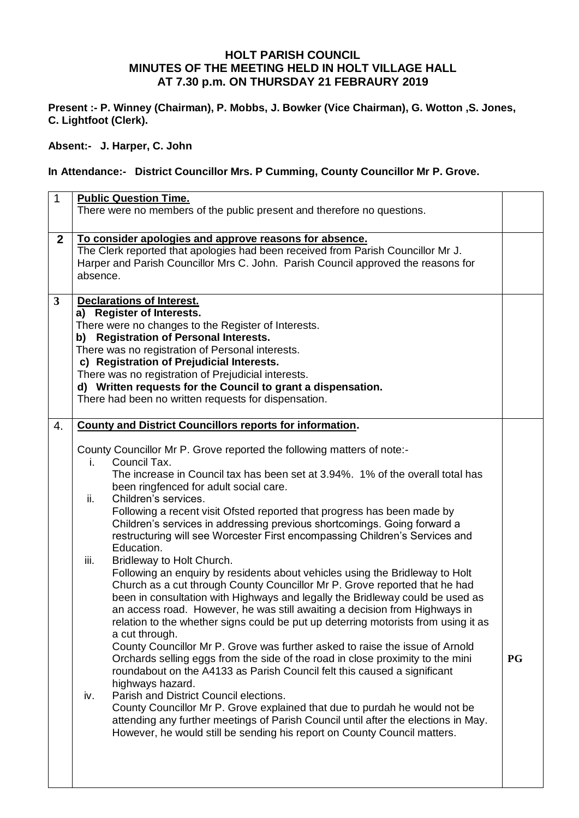## **HOLT PARISH COUNCIL MINUTES OF THE MEETING HELD IN HOLT VILLAGE HALL AT 7.30 p.m. ON THURSDAY 21 FEBRAURY 2019**

**Present :- P. Winney (Chairman), P. Mobbs, J. Bowker (Vice Chairman), G. Wotton ,S. Jones, C. Lightfoot (Clerk).**

**Absent:- J. Harper, C. John**

## **In Attendance:- District Councillor Mrs. P Cumming, County Councillor Mr P. Grove.**

| $\mathbf{1}$   | <b>Public Question Time.</b><br>There were no members of the public present and therefore no questions.                                                                                                                                                                                                                                                                                                                                                                                                                                                                                                                                                                                                                                                                                                                                                                                                                                                                                                                                                                                                                                                                                                                                                                                                                                                                                                                                                                                                                                                                                                                               |           |  |  |
|----------------|---------------------------------------------------------------------------------------------------------------------------------------------------------------------------------------------------------------------------------------------------------------------------------------------------------------------------------------------------------------------------------------------------------------------------------------------------------------------------------------------------------------------------------------------------------------------------------------------------------------------------------------------------------------------------------------------------------------------------------------------------------------------------------------------------------------------------------------------------------------------------------------------------------------------------------------------------------------------------------------------------------------------------------------------------------------------------------------------------------------------------------------------------------------------------------------------------------------------------------------------------------------------------------------------------------------------------------------------------------------------------------------------------------------------------------------------------------------------------------------------------------------------------------------------------------------------------------------------------------------------------------------|-----------|--|--|
| $\mathbf{2}$   | To consider apologies and approve reasons for absence.<br>The Clerk reported that apologies had been received from Parish Councillor Mr J.<br>Harper and Parish Councillor Mrs C. John. Parish Council approved the reasons for<br>absence.                                                                                                                                                                                                                                                                                                                                                                                                                                                                                                                                                                                                                                                                                                                                                                                                                                                                                                                                                                                                                                                                                                                                                                                                                                                                                                                                                                                           |           |  |  |
| $\overline{3}$ | <b>Declarations of Interest.</b><br>a) Register of Interests.<br>There were no changes to the Register of Interests.<br>b) Registration of Personal Interests.<br>There was no registration of Personal interests.<br>c) Registration of Prejudicial Interests.<br>There was no registration of Prejudicial interests.<br>d) Written requests for the Council to grant a dispensation.<br>There had been no written requests for dispensation.                                                                                                                                                                                                                                                                                                                                                                                                                                                                                                                                                                                                                                                                                                                                                                                                                                                                                                                                                                                                                                                                                                                                                                                        |           |  |  |
| 4.             | <b>County and District Councillors reports for information.</b><br>County Councillor Mr P. Grove reported the following matters of note:-<br>Council Tax.<br>$\mathbf{L}$<br>The increase in Council tax has been set at 3.94%. 1% of the overall total has<br>been ringfenced for adult social care.<br>Children's services.<br>ii.<br>Following a recent visit Ofsted reported that progress has been made by<br>Children's services in addressing previous shortcomings. Going forward a<br>restructuring will see Worcester First encompassing Children's Services and<br>Education.<br>Bridleway to Holt Church.<br>iii.<br>Following an enquiry by residents about vehicles using the Bridleway to Holt<br>Church as a cut through County Councillor Mr P. Grove reported that he had<br>been in consultation with Highways and legally the Bridleway could be used as<br>an access road. However, he was still awaiting a decision from Highways in<br>relation to the whether signs could be put up deterring motorists from using it as<br>a cut through.<br>County Councillor Mr P. Grove was further asked to raise the issue of Arnold<br>Orchards selling eggs from the side of the road in close proximity to the mini<br>roundabout on the A4133 as Parish Council felt this caused a significant<br>highways hazard.<br>Parish and District Council elections.<br>iv.<br>County Councillor Mr P. Grove explained that due to purdah he would not be<br>attending any further meetings of Parish Council until after the elections in May.<br>However, he would still be sending his report on County Council matters. | <b>PG</b> |  |  |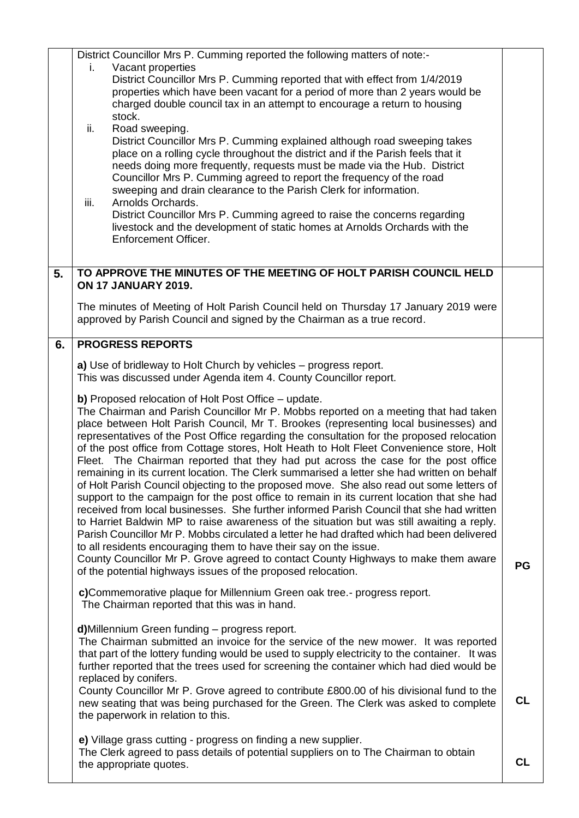|    | District Councillor Mrs P. Cumming reported the following matters of note:-<br>Vacant properties<br>i.<br>District Councillor Mrs P. Cumming reported that with effect from 1/4/2019<br>properties which have been vacant for a period of more than 2 years would be<br>charged double council tax in an attempt to encourage a return to housing<br>stock.<br>ii.<br>Road sweeping.<br>District Councillor Mrs P. Cumming explained although road sweeping takes<br>place on a rolling cycle throughout the district and if the Parish feels that it<br>needs doing more frequently, requests must be made via the Hub. District<br>Councillor Mrs P. Cumming agreed to report the frequency of the road<br>sweeping and drain clearance to the Parish Clerk for information.<br>Arnolds Orchards.<br>iii.<br>District Councillor Mrs P. Cumming agreed to raise the concerns regarding<br>livestock and the development of static homes at Arnolds Orchards with the<br>Enforcement Officer.                                                                                                                                                                                                                                                                                                                                                                                                                                                                               |           |  |  |  |  |  |
|----|------------------------------------------------------------------------------------------------------------------------------------------------------------------------------------------------------------------------------------------------------------------------------------------------------------------------------------------------------------------------------------------------------------------------------------------------------------------------------------------------------------------------------------------------------------------------------------------------------------------------------------------------------------------------------------------------------------------------------------------------------------------------------------------------------------------------------------------------------------------------------------------------------------------------------------------------------------------------------------------------------------------------------------------------------------------------------------------------------------------------------------------------------------------------------------------------------------------------------------------------------------------------------------------------------------------------------------------------------------------------------------------------------------------------------------------------------------------------------|-----------|--|--|--|--|--|
| 5. | TO APPROVE THE MINUTES OF THE MEETING OF HOLT PARISH COUNCIL HELD                                                                                                                                                                                                                                                                                                                                                                                                                                                                                                                                                                                                                                                                                                                                                                                                                                                                                                                                                                                                                                                                                                                                                                                                                                                                                                                                                                                                            |           |  |  |  |  |  |
|    | <b>ON 17 JANUARY 2019.</b><br>The minutes of Meeting of Holt Parish Council held on Thursday 17 January 2019 were<br>approved by Parish Council and signed by the Chairman as a true record.                                                                                                                                                                                                                                                                                                                                                                                                                                                                                                                                                                                                                                                                                                                                                                                                                                                                                                                                                                                                                                                                                                                                                                                                                                                                                 |           |  |  |  |  |  |
| 6. | <b>PROGRESS REPORTS</b>                                                                                                                                                                                                                                                                                                                                                                                                                                                                                                                                                                                                                                                                                                                                                                                                                                                                                                                                                                                                                                                                                                                                                                                                                                                                                                                                                                                                                                                      |           |  |  |  |  |  |
|    | a) Use of bridleway to Holt Church by vehicles – progress report.<br>This was discussed under Agenda item 4. County Councillor report.<br><b>b)</b> Proposed relocation of Holt Post Office – update.<br>The Chairman and Parish Councillor Mr P. Mobbs reported on a meeting that had taken<br>place between Holt Parish Council, Mr T. Brookes (representing local businesses) and<br>representatives of the Post Office regarding the consultation for the proposed relocation<br>of the post office from Cottage stores, Holt Heath to Holt Fleet Convenience store, Holt<br>Fleet. The Chairman reported that they had put across the case for the post office<br>remaining in its current location. The Clerk summarised a letter she had written on behalf<br>of Holt Parish Council objecting to the proposed move. She also read out some letters of<br>support to the campaign for the post office to remain in its current location that she had<br>received from local businesses. She further informed Parish Council that she had written<br>to Harriet Baldwin MP to raise awareness of the situation but was still awaiting a reply.<br>Parish Councillor Mr P. Mobbs circulated a letter he had drafted which had been delivered<br>to all residents encouraging them to have their say on the issue.<br>County Councillor Mr P. Grove agreed to contact County Highways to make them aware<br>of the potential highways issues of the proposed relocation. | PG        |  |  |  |  |  |
|    | c)Commemorative plaque for Millennium Green oak tree.- progress report.<br>The Chairman reported that this was in hand.<br>d)Millennium Green funding - progress report.<br>The Chairman submitted an invoice for the service of the new mower. It was reported<br>that part of the lottery funding would be used to supply electricity to the container. It was                                                                                                                                                                                                                                                                                                                                                                                                                                                                                                                                                                                                                                                                                                                                                                                                                                                                                                                                                                                                                                                                                                             |           |  |  |  |  |  |
|    | further reported that the trees used for screening the container which had died would be<br>replaced by conifers.<br>County Councillor Mr P. Grove agreed to contribute £800.00 of his divisional fund to the<br>new seating that was being purchased for the Green. The Clerk was asked to complete<br>the paperwork in relation to this.                                                                                                                                                                                                                                                                                                                                                                                                                                                                                                                                                                                                                                                                                                                                                                                                                                                                                                                                                                                                                                                                                                                                   | <b>CL</b> |  |  |  |  |  |
|    | e) Village grass cutting - progress on finding a new supplier.<br>The Clerk agreed to pass details of potential suppliers on to The Chairman to obtain<br>the appropriate quotes.                                                                                                                                                                                                                                                                                                                                                                                                                                                                                                                                                                                                                                                                                                                                                                                                                                                                                                                                                                                                                                                                                                                                                                                                                                                                                            | CL        |  |  |  |  |  |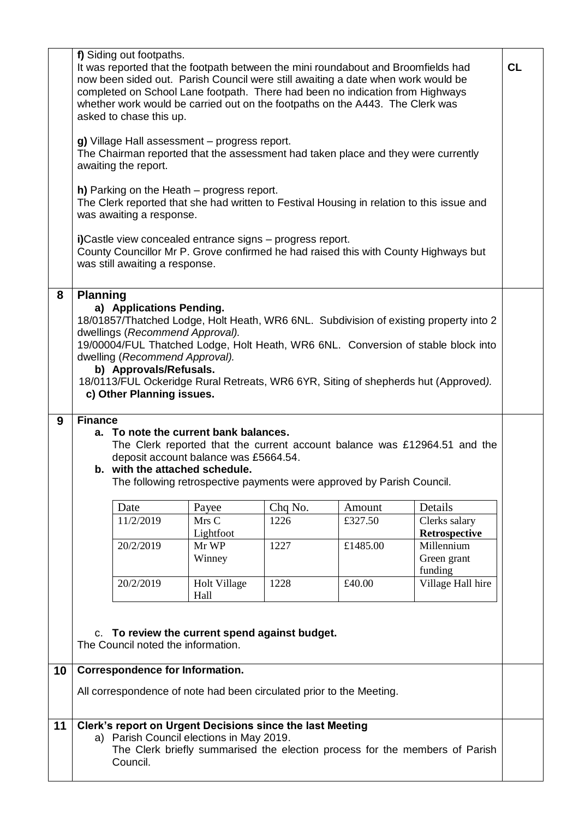|    | f) Siding out footpaths.<br>It was reported that the footpath between the mini roundabout and Broomfields had<br>now been sided out. Parish Council were still awaiting a date when work would be<br>completed on School Lane footpath. There had been no indication from Highways<br>whether work would be carried out on the footpaths on the A443. The Clerk was<br>asked to chase this up.                                              |                                    |                                                                                                       |         | <b>CL</b> |                                                                             |  |
|----|---------------------------------------------------------------------------------------------------------------------------------------------------------------------------------------------------------------------------------------------------------------------------------------------------------------------------------------------------------------------------------------------------------------------------------------------|------------------------------------|-------------------------------------------------------------------------------------------------------|---------|-----------|-----------------------------------------------------------------------------|--|
|    | g) Village Hall assessment - progress report.<br>The Chairman reported that the assessment had taken place and they were currently<br>awaiting the report.                                                                                                                                                                                                                                                                                  |                                    |                                                                                                       |         |           |                                                                             |  |
|    | $h$ ) Parking on the Heath $-$ progress report.<br>The Clerk reported that she had written to Festival Housing in relation to this issue and<br>was awaiting a response.                                                                                                                                                                                                                                                                    |                                    |                                                                                                       |         |           |                                                                             |  |
|    | i)Castle view concealed entrance signs - progress report.<br>County Councillor Mr P. Grove confirmed he had raised this with County Highways but<br>was still awaiting a response.                                                                                                                                                                                                                                                          |                                    |                                                                                                       |         |           |                                                                             |  |
| 8  | <b>Planning</b><br>a) Applications Pending.<br>18/01857/Thatched Lodge, Holt Heath, WR6 6NL. Subdivision of existing property into 2<br>dwellings (Recommend Approval).<br>19/00004/FUL Thatched Lodge, Holt Heath, WR6 6NL. Conversion of stable block into<br>dwelling (Recommend Approval).<br>b) Approvals/Refusals.<br>18/0113/FUL Ockeridge Rural Retreats, WR6 6YR, Siting of shepherds hut (Approved).<br>c) Other Planning issues. |                                    |                                                                                                       |         |           |                                                                             |  |
| 9  | <b>Finance</b><br>a. To note the current bank balances.<br>The Clerk reported that the current account balance was £12964.51 and the<br>deposit account balance was £5664.54.<br>b. with the attached schedule.<br>The following retrospective payments were approved by Parish Council.                                                                                                                                                    |                                    |                                                                                                       |         |           |                                                                             |  |
|    |                                                                                                                                                                                                                                                                                                                                                                                                                                             | Date                               | Payee                                                                                                 | Chq No. | Amount    | Details                                                                     |  |
|    |                                                                                                                                                                                                                                                                                                                                                                                                                                             | 11/2/2019                          | Mrs C                                                                                                 | 1226    | £327.50   | Clerks salary                                                               |  |
|    |                                                                                                                                                                                                                                                                                                                                                                                                                                             |                                    | Lightfoot                                                                                             |         |           | Retrospective                                                               |  |
|    |                                                                                                                                                                                                                                                                                                                                                                                                                                             | 20/2/2019                          | Mr WP<br>Winney                                                                                       | 1227    | £1485.00  | Millennium<br>Green grant<br>funding                                        |  |
|    |                                                                                                                                                                                                                                                                                                                                                                                                                                             | 20/2/2019                          | Holt Village<br>Hall                                                                                  | 1228    | £40.00    | Village Hall hire                                                           |  |
|    |                                                                                                                                                                                                                                                                                                                                                                                                                                             | The Council noted the information. | c. To review the current spend against budget.                                                        |         |           |                                                                             |  |
| 10 |                                                                                                                                                                                                                                                                                                                                                                                                                                             | Correspondence for Information.    |                                                                                                       |         |           |                                                                             |  |
|    | All correspondence of note had been circulated prior to the Meeting.                                                                                                                                                                                                                                                                                                                                                                        |                                    |                                                                                                       |         |           |                                                                             |  |
| 11 |                                                                                                                                                                                                                                                                                                                                                                                                                                             | Council.                           | Clerk's report on Urgent Decisions since the last Meeting<br>a) Parish Council elections in May 2019. |         |           | The Clerk briefly summarised the election process for the members of Parish |  |